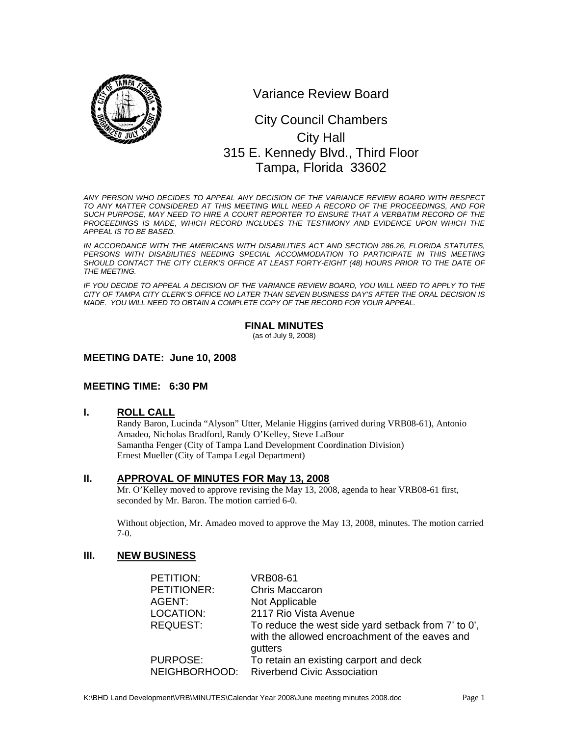

Variance Review Board

# 0 315 E. Kennedy Blvd., Third Floor City Council Chambers City Hall Tampa, Florida 33602

*ANY PERSON WHO DECIDES TO APPEAL ANY DECISION OF THE VARIANCE REVIEW BOARD WITH RESPECT TO ANY MATTER CONSIDERED AT THIS MEETING WILL NEED A RECORD OF THE PROCEEDINGS, AND FOR SUCH PURPOSE, MAY NEED TO HIRE A COURT REPORTER TO ENSURE THAT A VERBATIM RECORD OF THE*  PROCEEDINGS IS MADE, WHICH RECORD INCLUDES THE TESTIMONY AND EVIDENCE UPON WHICH THE *APPEAL IS TO BE BASED.* 

*IN ACCORDANCE WITH THE AMERICANS WITH DISABILITIES ACT AND SECTION 286.26, FLORIDA STATUTES,*  PERSONS WITH DISABILITIES NEEDING SPECIAL ACCOMMODATION TO PARTICIPATE IN THIS MEETING SHOULD CONTACT THE CITY CLERK'S OFFICE AT LEAST FORTY-EIGHT (48) HOURS PRIOR TO THE DATE OF *THE MEETING.* 

*IF YOU DECIDE TO APPEAL A DECISION OF THE VARIANCE REVIEW BOARD, YOU WILL NEED TO APPLY TO THE CITY OF TAMPA CITY CLERK'S OFFICE NO LATER THAN SEVEN BUSINESS DAY'S AFTER THE ORAL DECISION IS MADE. YOU WILL NEED TO OBTAIN A COMPLETE COPY OF THE RECORD FOR YOUR APPEAL.* 

## **FINAL MINUTES**

(as of July 9, 2008)

## **MEETING DATE: June 10, 2008**

## **MEETING TIME: 6:30 PM**

**I. ROLL CALL**

Randy Baron, Lucinda "Alyson" Utter, Melanie Higgins (arrived during VRB08-61), Antonio Amadeo, Nicholas Bradford, Randy O'Kelley, Steve LaBour Samantha Fenger (City of Tampa Land Development Coordination Division) Ernest Mueller (City of Tampa Legal Department)

## **II. APPROVAL OF MINUTES FOR May 13, 2008**

Mr. O'Kelley moved to approve revising the May 13, 2008, agenda to hear VRB08-61 first, seconded by Mr. Baron. The motion carried 6-0.

Without objection, Mr. Amadeo moved to approve the May 13, 2008, minutes. The motion carried 7-0.

# **III. NEW BUSINESS**

| PETITION:       | <b>VRB08-61</b>                                                                                                  |
|-----------------|------------------------------------------------------------------------------------------------------------------|
| PETITIONER:     | Chris Maccaron                                                                                                   |
| AGENT:          | Not Applicable                                                                                                   |
| LOCATION:       | 2117 Rio Vista Avenue                                                                                            |
| <b>REQUEST:</b> | To reduce the west side yard setback from 7' to 0',<br>with the allowed encroachment of the eaves and<br>gutters |
| <b>PURPOSE:</b> | To retain an existing carport and deck                                                                           |
| NEIGHBORHOOD:   | <b>Riverbend Civic Association</b>                                                                               |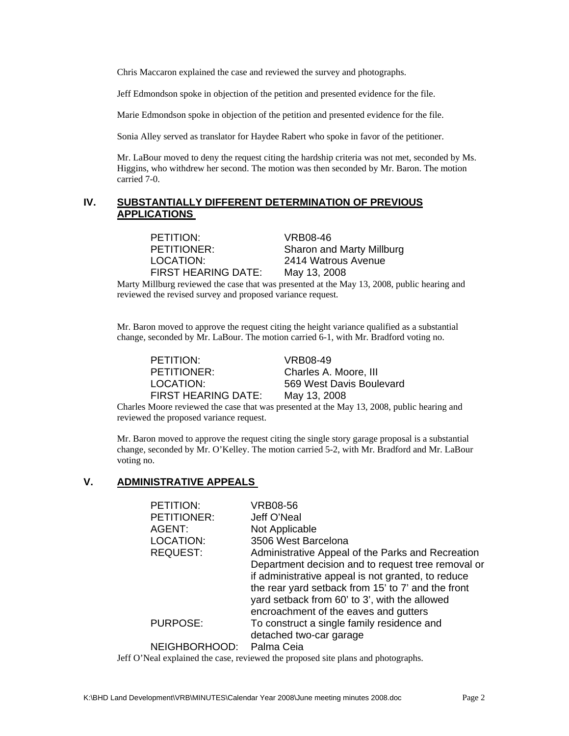Chris Maccaron explained the case and reviewed the survey and photographs.

Jeff Edmondson spoke in objection of the petition and presented evidence for the file.

Marie Edmondson spoke in objection of the petition and presented evidence for the file.

Sonia Alley served as translator for Haydee Rabert who spoke in favor of the petitioner.

Mr. LaBour moved to deny the request citing the hardship criteria was not met, seconded by Ms. Higgins, who withdrew her second. The motion was then seconded by Mr. Baron. The motion carried 7-0.

## **IV. SUBSTANTIALLY DIFFERENT DETERMINATION OF PREVIOUS APPLICATIONS**

PETITION: VRB08-46 FIRST HEARING DATE: May 13, 2008

PETITIONER: Sharon and Marty Millburg LOCATION: 2414 Watrous Avenue

Marty Millburg reviewed the case that was presented at the May 13, 2008, public hearing and reviewed the revised survey and proposed variance request.

Mr. Baron moved to approve the request citing the height variance qualified as a substantial change, seconded by Mr. LaBour. The motion carried 6-1, with Mr. Bradford voting no.

PETITION: VRB08-49 PETITIONER: Charles A. Moore, III FIRST HEARING DATE: May 13, 2008

LOCATION: 569 West Davis Boulevard

Charles Moore reviewed the case that was presented at the May 13, 2008, public hearing and reviewed the proposed variance request.

Mr. Baron moved to approve the request citing the single story garage proposal is a substantial change, seconded by Mr. O'Kelley. The motion carried 5-2, with Mr. Bradford and Mr. LaBour voting no.

#### **V. ADMINISTRATIVE APPEALS**

| VRB08-56                                           |
|----------------------------------------------------|
| Jeff O'Neal                                        |
| Not Applicable                                     |
| 3506 West Barcelona                                |
| Administrative Appeal of the Parks and Recreation  |
| Department decision and to request tree removal or |
| if administrative appeal is not granted, to reduce |
| the rear yard setback from 15' to 7' and the front |
| yard setback from 60' to 3', with the allowed      |
| encroachment of the eaves and gutters              |
| To construct a single family residence and         |
| detached two-car garage                            |
| Palma Ceia                                         |
|                                                    |

Jeff O'Neal explained the case, reviewed the proposed site plans and photographs.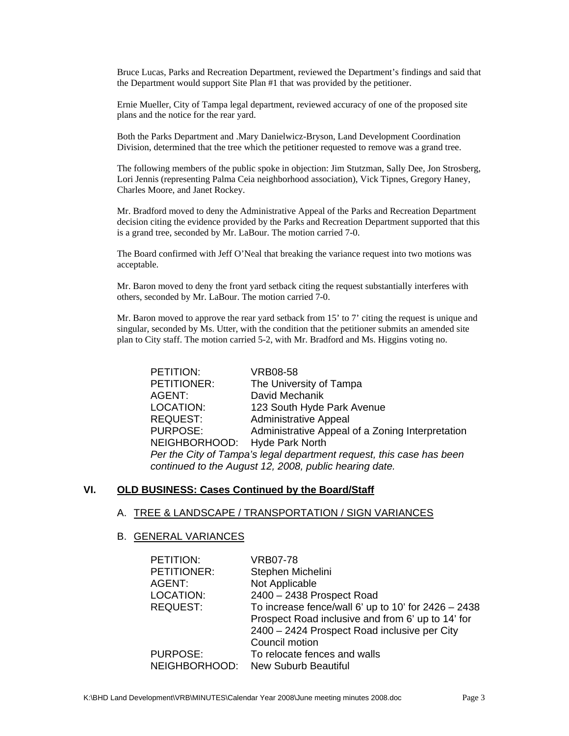Bruce Lucas, Parks and Recreation Department, reviewed the Department's findings and said that the Department would support Site Plan #1 that was provided by the petitioner.

Ernie Mueller, City of Tampa legal department, reviewed accuracy of one of the proposed site plans and the notice for the rear yard.

Both the Parks Department and .Mary Danielwicz-Bryson, Land Development Coordination Division, determined that the tree which the petitioner requested to remove was a grand tree.

The following members of the public spoke in objection: Jim Stutzman, Sally Dee, Jon Strosberg, Lori Jennis (representing Palma Ceia neighborhood association), Vick Tipnes, Gregory Haney, Charles Moore, and Janet Rockey.

Mr. Bradford moved to deny the Administrative Appeal of the Parks and Recreation Department decision citing the evidence provided by the Parks and Recreation Department supported that this is a grand tree, seconded by Mr. LaBour. The motion carried 7-0.

The Board confirmed with Jeff O'Neal that breaking the variance request into two motions was acceptable.

Mr. Baron moved to deny the front yard setback citing the request substantially interferes with others, seconded by Mr. LaBour. The motion carried 7-0.

Mr. Baron moved to approve the rear yard setback from 15' to 7' citing the request is unique and singular, seconded by Ms. Utter, with the condition that the petitioner submits an amended site plan to City staff. The motion carried 5-2, with Mr. Bradford and Ms. Higgins voting no.

| PETITION:                                                            | VRB08-58                                         |  |
|----------------------------------------------------------------------|--------------------------------------------------|--|
| PETITIONER:                                                          | The University of Tampa                          |  |
| AGENT:                                                               | David Mechanik                                   |  |
| LOCATION:                                                            | 123 South Hyde Park Avenue                       |  |
| <b>REQUEST:</b>                                                      | <b>Administrative Appeal</b>                     |  |
| <b>PURPOSE:</b>                                                      | Administrative Appeal of a Zoning Interpretation |  |
| NEIGHBORHOOD: Hyde Park North                                        |                                                  |  |
| Per the City of Tampa's legal department request, this case has been |                                                  |  |
| continued to the August 12, 2008, public hearing date.               |                                                  |  |

## **VI. OLD BUSINESS: Cases Continued by the Board/Staff**

#### A. TREE & LANDSCAPE / TRANSPORTATION / SIGN VARIANCES

#### B. GENERAL VARIANCES

| PETITION:       | <b>VRB07-78</b>                                       |
|-----------------|-------------------------------------------------------|
| PETITIONER:     | Stephen Michelini                                     |
| AGENT:          | Not Applicable                                        |
| LOCATION:       | 2400 - 2438 Prospect Road                             |
| <b>REQUEST:</b> | To increase fence/wall 6' up to 10' for $2426 - 2438$ |
|                 | Prospect Road inclusive and from 6' up to 14' for     |
|                 | 2400 - 2424 Prospect Road inclusive per City          |
|                 | Council motion                                        |
| <b>PURPOSE:</b> | To relocate fences and walls                          |
| NEIGHBORHOOD:   | <b>New Suburb Beautiful</b>                           |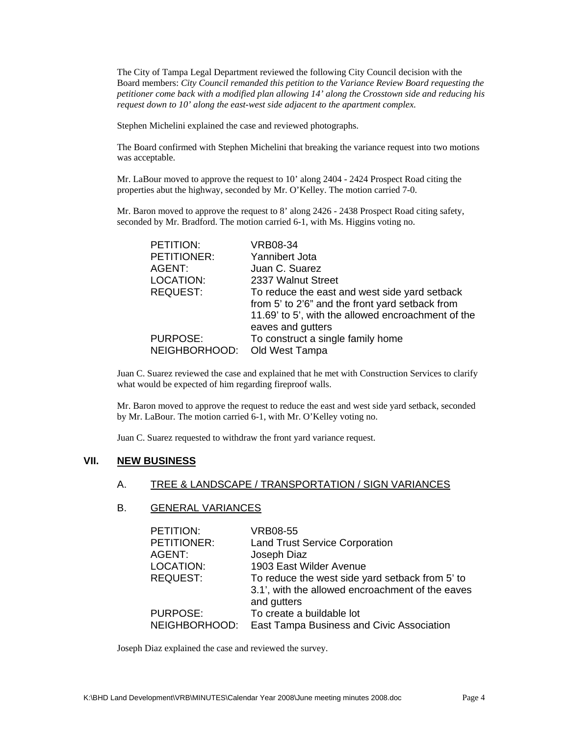The City of Tampa Legal Department reviewed the following City Council decision with the Board members: *City Council remanded this petition to the Variance Review Board requesting the petitioner come back with a modified plan allowing 14' along the Crosstown side and reducing his request down to 10' along the east-west side adjacent to the apartment complex.*

Stephen Michelini explained the case and reviewed photographs.

The Board confirmed with Stephen Michelini that breaking the variance request into two motions was acceptable.

Mr. LaBour moved to approve the request to 10' along 2404 - 2424 Prospect Road citing the properties abut the highway, seconded by Mr. O'Kelley. The motion carried 7-0.

Mr. Baron moved to approve the request to 8' along 2426 - 2438 Prospect Road citing safety, seconded by Mr. Bradford. The motion carried 6-1, with Ms. Higgins voting no.

| PETITION:       | <b>VRB08-34</b>                                    |
|-----------------|----------------------------------------------------|
| PETITIONER:     | Yannibert Jota                                     |
| AGENT:          | Juan C. Suarez                                     |
| LOCATION:       | 2337 Walnut Street                                 |
| <b>REQUEST:</b> | To reduce the east and west side yard setback      |
|                 | from 5' to 2'6" and the front yard setback from    |
|                 | 11.69' to 5', with the allowed encroachment of the |
|                 | eaves and gutters                                  |
| <b>PURPOSE:</b> | To construct a single family home                  |
| NEIGHBORHOOD:   | Old West Tampa                                     |

Juan C. Suarez reviewed the case and explained that he met with Construction Services to clarify what would be expected of him regarding fireproof walls.

Mr. Baron moved to approve the request to reduce the east and west side yard setback, seconded by Mr. LaBour. The motion carried 6-1, with Mr. O'Kelley voting no.

Juan C. Suarez requested to withdraw the front yard variance request.

## **VII. NEW BUSINESS**

#### A. TREE & LANDSCAPE / TRANSPORTATION / SIGN VARIANCES

#### B. GENERAL VARIANCES

| PETITION:       | <b>VRB08-55</b>                                  |
|-----------------|--------------------------------------------------|
| PETITIONER:     | <b>Land Trust Service Corporation</b>            |
| AGENT:          | Joseph Diaz                                      |
| LOCATION:       | 1903 East Wilder Avenue                          |
| <b>REQUEST:</b> | To reduce the west side yard setback from 5' to  |
|                 | 3.1', with the allowed encroachment of the eaves |
|                 | and gutters                                      |
| <b>PURPOSE:</b> | To create a buildable lot                        |
| NEIGHBORHOOD:   | East Tampa Business and Civic Association        |

Joseph Diaz explained the case and reviewed the survey.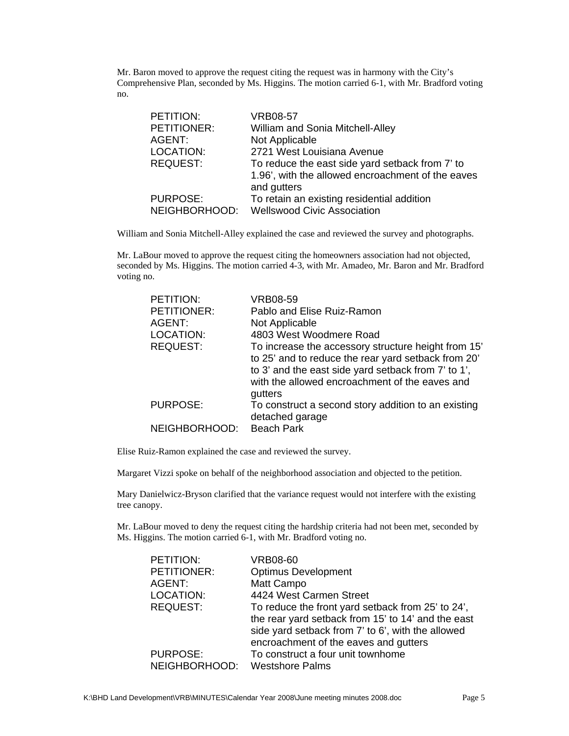Mr. Baron moved to approve the request citing the request was in harmony with the City's Comprehensive Plan, seconded by Ms. Higgins. The motion carried 6-1, with Mr. Bradford voting no.

| PETITION:       | <b>VRB08-57</b>                                   |
|-----------------|---------------------------------------------------|
| PETITIONER:     | William and Sonia Mitchell-Alley                  |
| AGENT:          | Not Applicable                                    |
| LOCATION:       | 2721 West Louisiana Avenue                        |
| <b>REQUEST:</b> | To reduce the east side yard setback from 7' to   |
|                 | 1.96', with the allowed encroachment of the eaves |
|                 | and gutters                                       |
| <b>PURPOSE:</b> | To retain an existing residential addition        |
| NEIGHBORHOOD:   | <b>Wellswood Civic Association</b>                |

William and Sonia Mitchell-Alley explained the case and reviewed the survey and photographs.

Mr. LaBour moved to approve the request citing the homeowners association had not objected, seconded by Ms. Higgins. The motion carried 4-3, with Mr. Amadeo, Mr. Baron and Mr. Bradford voting no.

| PETITION:          | <b>VRB08-59</b>                                     |
|--------------------|-----------------------------------------------------|
| <b>PETITIONER:</b> | Pablo and Elise Ruiz-Ramon                          |
| AGENT:             | Not Applicable                                      |
| LOCATION:          | 4803 West Woodmere Road                             |
| <b>REQUEST:</b>    | To increase the accessory structure height from 15' |
|                    | to 25' and to reduce the rear yard setback from 20' |
|                    | to 3' and the east side yard setback from 7' to 1', |
|                    | with the allowed encroachment of the eaves and      |
|                    | gutters                                             |
| <b>PURPOSE:</b>    | To construct a second story addition to an existing |
|                    | detached garage                                     |
| NEIGHBORHOOD:      | <b>Beach Park</b>                                   |

Elise Ruiz-Ramon explained the case and reviewed the survey.

Margaret Vizzi spoke on behalf of the neighborhood association and objected to the petition.

Mary Danielwicz-Bryson clarified that the variance request would not interfere with the existing tree canopy.

Mr. LaBour moved to deny the request citing the hardship criteria had not been met, seconded by Ms. Higgins. The motion carried 6-1, with Mr. Bradford voting no.

| PETITION:       | <b>VRB08-60</b>                                    |
|-----------------|----------------------------------------------------|
| PETITIONER:     | <b>Optimus Development</b>                         |
| AGENT:          | Matt Campo                                         |
| LOCATION:       | 4424 West Carmen Street                            |
| <b>REQUEST:</b> | To reduce the front yard setback from 25' to 24',  |
|                 | the rear yard setback from 15' to 14' and the east |
|                 | side yard setback from 7' to 6', with the allowed  |
|                 | encroachment of the eaves and gutters              |
| <b>PURPOSE:</b> | To construct a four unit townhome                  |
| NEIGHBORHOOD:   | Westshore Palms                                    |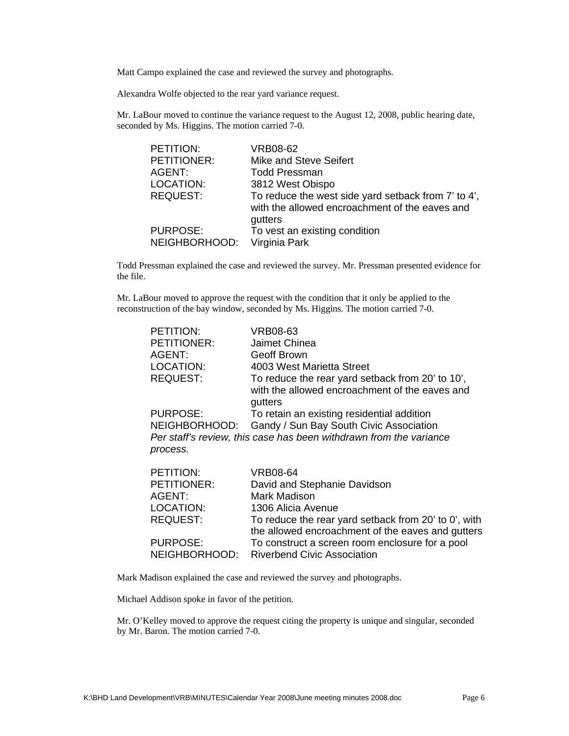Matt Campo explained the case and reviewed the survey and photographs.

Alexandra Wolfe objected to the rear yard variance request.

Mr. LaBour moved to continue the variance request to the August 12, 2008, public hearing date, seconded by Ms. Higgins. The motion carried 7-0.

| PETITION:          | VRB08-62                                            |
|--------------------|-----------------------------------------------------|
| <b>PETITIONER:</b> | Mike and Steve Seifert                              |
| AGENT:             | <b>Todd Pressman</b>                                |
| LOCATION:          | 3812 West Obispo                                    |
| <b>REQUEST:</b>    | To reduce the west side yard setback from 7' to 4', |
|                    | with the allowed encroachment of the eaves and      |
|                    | gutters                                             |
| <b>PURPOSE:</b>    | To vest an existing condition                       |
| NEIGHBORHOOD:      | Virginia Park                                       |

Todd Pressman explained the case and reviewed the survey. Mr. Pressman presented evidence for the file.

Mr. LaBour moved to approve the request with the condition that it only be applied to the reconstruction of the bay window, seconded by Ms. Higgins. The motion carried 7-0.

| PETITION:          | VRB08-63                                                           |
|--------------------|--------------------------------------------------------------------|
| <b>PETITIONER:</b> | Jaimet Chinea                                                      |
| AGENT:             | Geoff Brown                                                        |
| LOCATION:          | 4003 West Marietta Street                                          |
| <b>REQUEST:</b>    | To reduce the rear yard setback from 20' to 10',                   |
|                    | with the allowed encroachment of the eaves and                     |
|                    | gutters                                                            |
| PURPOSE:           | To retain an existing residential addition                         |
| NEIGHBORHOOD:      | Gandy / Sun Bay South Civic Association                            |
|                    | Per staff's review, this case has been withdrawn from the variance |
| process.           |                                                                    |
|                    |                                                                    |
| PETITION:          | <b>VRB08-64</b>                                                    |
| <b>PETITIONER:</b> | David and Stephanie Davidson                                       |
| AGENT:             | Mark Madison                                                       |
| LOCATION:          | 1306 Alicia Avenue                                                 |
| <b>REQUEST:</b>    | To reduce the rear yard setback from 20' to 0', with               |
|                    | the allowed encroachment of the eaves and gutters                  |
| PURPOSE:           | To construct a screen room enclosure for a pool                    |
| NEIGHBORHOOD:      | <b>Riverbend Civic Association</b>                                 |

Mark Madison explained the case and reviewed the survey and photographs.

Michael Addison spoke in favor of the petition.

Mr. O'Kelley moved to approve the request citing the property is unique and singular, seconded by Mr. Baron. The motion carried 7-0.